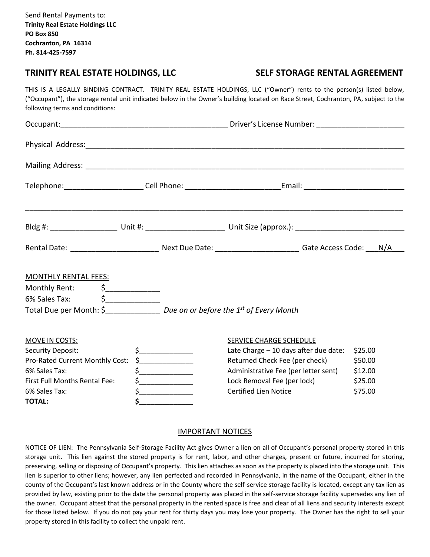Send Rental Payments to: **Trinity Real Estate Holdings LLC PO Box 850 Cochranton, PA 16314 Ph. 814-425-7597**

## **TRINITY REAL ESTATE HOLDINGS, LLC SELF STORAGE RENTAL AGREEMENT**

THIS IS A LEGALLY BINDING CONTRACT. TRINITY REAL ESTATE HOLDINGS, LLC ("Owner") rents to the person(s) listed below, ("Occupant"), the storage rental unit indicated below in the Owner's building located on Race Street, Cochranton, PA, subject to the following terms and conditions:

| <b>MONTHLY RENTAL FEES:</b>                                                       |  |                                                                                                                                                                                                                                                                                                                                                                                                                                                                                            |                                                             |                    |  |
|-----------------------------------------------------------------------------------|--|--------------------------------------------------------------------------------------------------------------------------------------------------------------------------------------------------------------------------------------------------------------------------------------------------------------------------------------------------------------------------------------------------------------------------------------------------------------------------------------------|-------------------------------------------------------------|--------------------|--|
| Monthly Rent: \$____________<br>6% Sales Tax: $\begin{matrix} 6 & 2 \end{matrix}$ |  |                                                                                                                                                                                                                                                                                                                                                                                                                                                                                            |                                                             |                    |  |
| Total Due per Month: \$_________________ Due on or before the 1st of Every Month  |  |                                                                                                                                                                                                                                                                                                                                                                                                                                                                                            |                                                             |                    |  |
| MOVE IN COSTS:                                                                    |  |                                                                                                                                                                                                                                                                                                                                                                                                                                                                                            | SERVICE CHARGE SCHEDULE                                     |                    |  |
| <b>Security Deposit:</b>                                                          |  | $\zeta$                                                                                                                                                                                                                                                                                                                                                                                                                                                                                    | Late Charge - 10 days after due date:                       | \$25.00            |  |
| Pro-Rated Current Monthly Cost:                                                   |  | $\begin{array}{c} \n \uparrow \text{S} \quad \text{S} \quad \text{S} \quad \text{S} \quad \text{S} \quad \text{S} \quad \text{S} \quad \text{S} \quad \text{S} \quad \text{S} \quad \text{S} \quad \text{S} \quad \text{S} \quad \text{S} \quad \text{S} \quad \text{S} \quad \text{S} \quad \text{S} \quad \text{S} \quad \text{S} \quad \text{S} \quad \text{S} \quad \text{S} \quad \text{S} \quad \text{S} \quad \text{S} \quad \text{S} \quad \text{S} \quad \text{S} \quad \text{S}$ | Returned Check Fee (per check)                              | \$50.00            |  |
| 6% Sales Tax:                                                                     |  | $\begin{array}{c}\n5\n\end{array}$                                                                                                                                                                                                                                                                                                                                                                                                                                                         | Administrative Fee (per letter sent)                        | \$12.00            |  |
| First Full Months Rental Fee:<br>6% Sales Tax:                                    |  | $\frac{1}{2}$                                                                                                                                                                                                                                                                                                                                                                                                                                                                              | Lock Removal Fee (per lock)<br><b>Certified Lien Notice</b> | \$25.00<br>\$75.00 |  |
| <b>TOTAL:</b>                                                                     |  |                                                                                                                                                                                                                                                                                                                                                                                                                                                                                            |                                                             |                    |  |
|                                                                                   |  |                                                                                                                                                                                                                                                                                                                                                                                                                                                                                            |                                                             |                    |  |

## IMPORTANT NOTICES

NOTICE OF LIEN: The Pennsylvania Self-Storage Facility Act gives Owner a lien on all of Occupant's personal property stored in this storage unit. This lien against the stored property is for rent, labor, and other charges, present or future, incurred for storing, preserving, selling or disposing of Occupant's property. This lien attaches as soon as the property is placed into the storage unit. This lien is superior to other liens; however, any lien perfected and recorded in Pennsylvania, in the name of the Occupant, either in the county of the Occupant's last known address or in the County where the self-service storage facility is located, except any tax lien as provided by law, existing prior to the date the personal property was placed in the self-service storage facility supersedes any lien of the owner. Occupant attest that the personal property in the rented space is free and clear of all liens and security interests except for those listed below. If you do not pay your rent for thirty days you may lose your property. The Owner has the right to sell your property stored in this facility to collect the unpaid rent.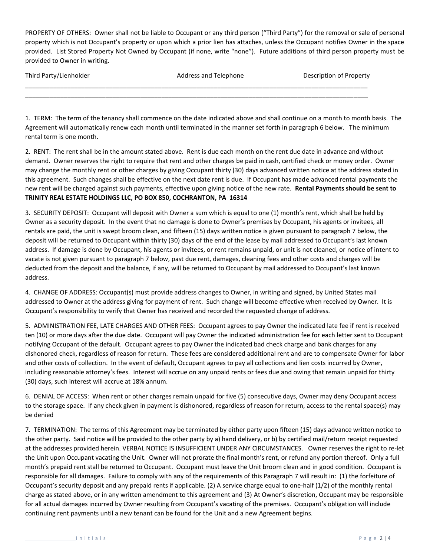PROPERTY OF OTHERS: Owner shall not be liable to Occupant or any third person ("Third Party") for the removal or sale of personal property which is not Occupant's property or upon which a prior lien has attaches, unless the Occupant notifies Owner in the space provided. List Stored Property Not Owned by Occupant (if none, write "none"). Future additions of third person property must be provided to Owner in writing.

| Third Party/Lienholder | Address and Telephone | Description of Property |
|------------------------|-----------------------|-------------------------|
|                        |                       |                         |

1. TERM: The term of the tenancy shall commence on the date indicated above and shall continue on a month to month basis. The Agreement will automatically renew each month until terminated in the manner set forth in paragraph 6 below. The minimum rental term is one month.

2. RENT: The rent shall be in the amount stated above. Rent is due each month on the rent due date in advance and without demand. Owner reserves the right to require that rent and other charges be paid in cash, certified check or money order. Owner may change the monthly rent or other charges by giving Occupant thirty (30) days advanced written notice at the address stated in this agreement. Such changes shall be effective on the next date rent is due. If Occupant has made advanced rental payments the new rent will be charged against such payments, effective upon giving notice of the new rate. **Rental Payments should be sent to TRINITY REAL ESTATE HOLDINGS LLC, PO BOX 850, COCHRANTON, PA 16314**

3. SECURITY DEPOSIT: Occupant will deposit with Owner a sum which is equal to one (1) month's rent, which shall be held by Owner as a security deposit. In the event that no damage is done to Owner's premises by Occupant, his agents or invitees, all rentals are paid, the unit is swept broom clean, and fifteen (15) days written notice is given pursuant to paragraph 7 below, the deposit will be returned to Occupant within thirty (30) days of the end of the lease by mail addressed to Occupant's last known address. If damage is done by Occupant, his agents or invitees, or rent remains unpaid, or unit is not cleaned, or notice of intent to vacate is not given pursuant to paragraph 7 below, past due rent, damages, cleaning fees and other costs and charges will be deducted from the deposit and the balance, if any, will be returned to Occupant by mail addressed to Occupant's last known address.

4. CHANGE OF ADDRESS: Occupant(s) must provide address changes to Owner, in writing and signed, by United States mail addressed to Owner at the address giving for payment of rent. Such change will become effective when received by Owner. It is Occupant's responsibility to verify that Owner has received and recorded the requested change of address.

5. ADMINISTRATION FEE, LATE CHARGES AND OTHER FEES: Occupant agrees to pay Owner the indicated late fee if rent is received ten (10) or more days after the due date. Occupant will pay Owner the indicated administration fee for each letter sent to Occupant notifying Occupant of the default. Occupant agrees to pay Owner the indicated bad check charge and bank charges for any dishonored check, regardless of reason for return. These fees are considered additional rent and are to compensate Owner for labor and other costs of collection. In the event of default, Occupant agrees to pay all collections and lien costs incurred by Owner, including reasonable attorney's fees. Interest will accrue on any unpaid rents or fees due and owing that remain unpaid for thirty (30) days, such interest will accrue at 18% annum.

6. DENIAL OF ACCESS: When rent or other charges remain unpaid for five (5) consecutive days, Owner may deny Occupant access to the storage space. If any check given in payment is dishonored, regardless of reason for return, access to the rental space(s) may be denied

7. TERMINATION: The terms of this Agreement may be terminated by either party upon fifteen (15) days advance written notice to the other party. Said notice will be provided to the other party by a) hand delivery, or b) by certified mail/return receipt requested at the addresses provided herein. VERBAL NOTICE IS INSUFFICIENT UNDER ANY CIRCUMSTANCES. Owner reserves the right to re-let the Unit upon Occupant vacating the Unit. Owner will not prorate the final month's rent, or refund any portion thereof. Only a full month's prepaid rent stall be returned to Occupant. Occupant must leave the Unit broom clean and in good condition. Occupant is responsible for all damages. Failure to comply with any of the requirements of this Paragraph 7 will result in: (1) the forfeiture of Occupant's security deposit and any prepaid rents if applicable. (2) A service charge equal to one-half (1/2) of the monthly rental charge as stated above, or in any written amendment to this agreement and (3) At Owner's discretion, Occupant may be responsible for all actual damages incurred by Owner resulting from Occupant's vacating of the premises. Occupant's obligation will include continuing rent payments until a new tenant can be found for the Unit and a new Agreement begins.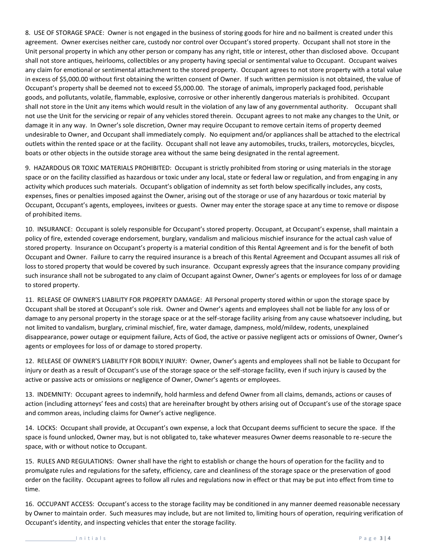8. USE OF STORAGE SPACE: Owner is not engaged in the business of storing goods for hire and no bailment is created under this agreement. Owner exercises neither care, custody nor control over Occupant's stored property. Occupant shall not store in the Unit personal property in which any other person or company has any right, title or interest, other than disclosed above. Occupant shall not store antiques, heirlooms, collectibles or any property having special or sentimental value to Occupant. Occupant waives any claim for emotional or sentimental attachment to the stored property. Occupant agrees to not store property with a total value in excess of \$5,000.00 without first obtaining the written consent of Owner. If such written permission is not obtained, the value of Occupant's property shall be deemed not to exceed \$5,000.00. The storage of animals, improperly packaged food, perishable goods, and pollutants, volatile, flammable, explosive, corrosive or other inherently dangerous materials is prohibited. Occupant shall not store in the Unit any items which would result in the violation of any law of any governmental authority. Occupant shall not use the Unit for the servicing or repair of any vehicles stored therein. Occupant agrees to not make any changes to the Unit, or damage it in any way. In Owner's sole discretion, Owner may require Occupant to remove certain items of property deemed undesirable to Owner, and Occupant shall immediately comply. No equipment and/or appliances shall be attached to the electrical outlets within the rented space or at the facility. Occupant shall not leave any automobiles, trucks, trailers, motorcycles, bicycles, boats or other objects in the outside storage area without the same being designated in the rental agreement.

9. HAZARDOUS OR TOXIC MATERIALS PROHIBITED: Occupant is strictly prohibited from storing or using materials in the storage space or on the facility classified as hazardous or toxic under any local, state or federal law or regulation, and from engaging in any activity which produces such materials. Occupant's obligation of indemnity as set forth below specifically includes, any costs, expenses, fines or penalties imposed against the Owner, arising out of the storage or use of any hazardous or toxic material by Occupant, Occupant's agents, employees, invitees or guests. Owner may enter the storage space at any time to remove or dispose of prohibited items.

10. INSURANCE: Occupant is solely responsible for Occupant's stored property. Occupant, at Occupant's expense, shall maintain a policy of fire, extended coverage endorsement, burglary, vandalism and malicious mischief insurance for the actual cash value of stored property. Insurance on Occupant's property is a material condition of this Rental Agreement and is for the benefit of both Occupant and Owner. Failure to carry the required insurance is a breach of this Rental Agreement and Occupant assumes all risk of loss to stored property that would be covered by such insurance. Occupant expressly agrees that the insurance company providing such insurance shall not be subrogated to any claim of Occupant against Owner, Owner's agents or employees for loss of or damage to stored property.

11. RELEASE OF OWNER'S LIABILITY FOR PROPERTY DAMAGE: All Personal property stored within or upon the storage space by Occupant shall be stored at Occupant's sole risk. Owner and Owner's agents and employees shall not be liable for any loss of or damage to any personal property in the storage space or at the self-storage facility arising from any cause whatsoever including, but not limited to vandalism, burglary, criminal mischief, fire, water damage, dampness, mold/mildew, rodents, unexplained disappearance, power outage or equipment failure, Acts of God, the active or passive negligent acts or omissions of Owner, Owner's agents or employees for loss of or damage to stored property.

12. RELEASE OF OWNER'S LIABILITY FOR BODILY INJURY: Owner, Owner's agents and employees shall not be liable to Occupant for injury or death as a result of Occupant's use of the storage space or the self-storage facility, even if such injury is caused by the active or passive acts or omissions or negligence of Owner, Owner's agents or employees.

13. INDEMNITY: Occupant agrees to indemnify, hold harmless and defend Owner from all claims, demands, actions or causes of action (including attorneys' fees and costs) that are hereinafter brought by others arising out of Occupant's use of the storage space and common areas, including claims for Owner's active negligence.

14. LOCKS: Occupant shall provide, at Occupant's own expense, a lock that Occupant deems sufficient to secure the space. If the space is found unlocked, Owner may, but is not obligated to, take whatever measures Owner deems reasonable to re-secure the space, with or without notice to Occupant.

15. RULES AND REGULATIONS: Owner shall have the right to establish or change the hours of operation for the facility and to promulgate rules and regulations for the safety, efficiency, care and cleanliness of the storage space or the preservation of good order on the facility. Occupant agrees to follow all rules and regulations now in effect or that may be put into effect from time to time.

16. OCCUPANT ACCESS: Occupant's access to the storage facility may be conditioned in any manner deemed reasonable necessary by Owner to maintain order. Such measures may include, but are not limited to, limiting hours of operation, requiring verification of Occupant's identity, and inspecting vehicles that enter the storage facility.